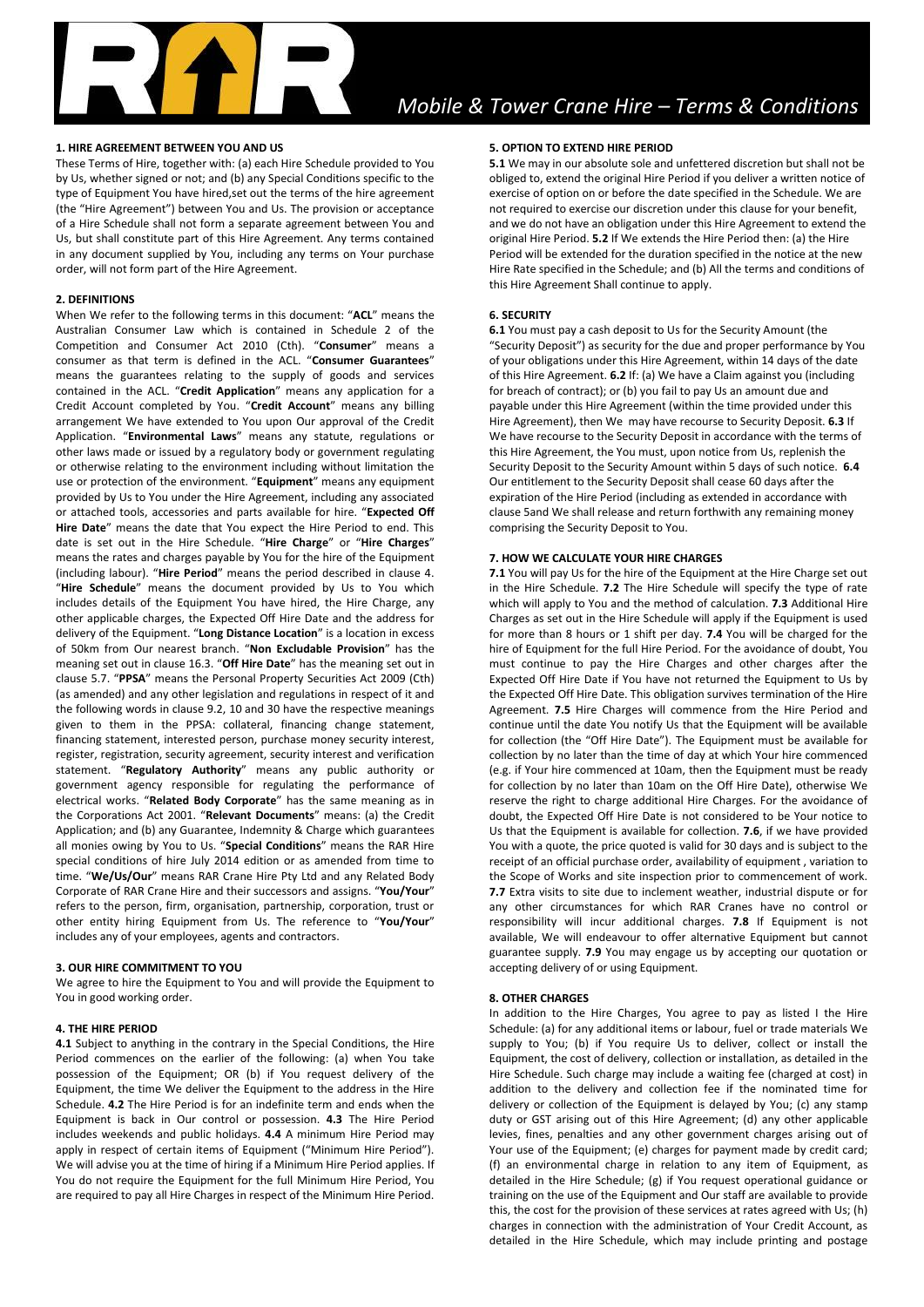

# **1. HIRE AGREEMENT BETWEEN YOU AND US**

These Terms of Hire, together with: (a) each Hire Schedule provided to You by Us, whether signed or not; and (b) any Special Conditions specific to the type of Equipment You have hired,set out the terms of the hire agreement (the "Hire Agreement") between You and Us. The provision or acceptance of a Hire Schedule shall not form a separate agreement between You and Us, but shall constitute part of this Hire Agreement. Any terms contained in any document supplied by You, including any terms on Your purchase order, will not form part of the Hire Agreement.

#### **2. DEFINITIONS**

When We refer to the following terms in this document: "**ACL**" means the Australian Consumer Law which is contained in Schedule 2 of the Competition and Consumer Act 2010 (Cth). "**Consumer**" means a consumer as that term is defined in the ACL. "**Consumer Guarantees**" means the guarantees relating to the supply of goods and services contained in the ACL. "**Credit Application**" means any application for a Credit Account completed by You. "**Credit Account**" means any billing arrangement We have extended to You upon Our approval of the Credit Application. "**Environmental Laws**" means any statute, regulations or other laws made or issued by a regulatory body or government regulating or otherwise relating to the environment including without limitation the use or protection of the environment. "**Equipment**" means any equipment provided by Us to You under the Hire Agreement, including any associated or attached tools, accessories and parts available for hire. "**Expected Off Hire Date**" means the date that You expect the Hire Period to end. This date is set out in the Hire Schedule. "**Hire Charge**" or "**Hire Charges**" means the rates and charges payable by You for the hire of the Equipment (including labour). "**Hire Period**" means the period described in clause 4. "**Hire Schedule**" means the document provided by Us to You which includes details of the Equipment You have hired, the Hire Charge, any other applicable charges, the Expected Off Hire Date and the address for delivery of the Equipment. "**Long Distance Location**" is a location in excess of 50km from Our nearest branch. "**Non Excludable Provision**" has the meaning set out in clause 16.3. "**Off Hire Date**" has the meaning set out in clause 5.7. "**PPSA**" means the Personal Property Securities Act 2009 (Cth) (as amended) and any other legislation and regulations in respect of it and the following words in clause 9.2, 10 and 30 have the respective meanings given to them in the PPSA: collateral, financing change statement, financing statement, interested person, purchase money security interest, register, registration, security agreement, security interest and verification statement. "**Regulatory Authority**" means any public authority or government agency responsible for regulating the performance of electrical works. "**Related Body Corporate**" has the same meaning as in the Corporations Act 2001. "**Relevant Documents**" means: (a) the Credit Application; and (b) any Guarantee, Indemnity & Charge which guarantees all monies owing by You to Us. "**Special Conditions**" means the RAR Hire special conditions of hire July 2014 edition or as amended from time to time. "**We/Us/Our**" means RAR Crane Hire Pty Ltd and any Related Body Corporate of RAR Crane Hire and their successors and assigns. "**You/Your**" refers to the person, firm, organisation, partnership, corporation, trust or other entity hiring Equipment from Us. The reference to "**You/Your**" includes any of your employees, agents and contractors.

#### **3. OUR HIRE COMMITMENT TO YOU**

We agree to hire the Equipment to You and will provide the Equipment to You in good working order.

#### **4. THE HIRE PERIOD**

**4.1** Subject to anything in the contrary in the Special Conditions, the Hire Period commences on the earlier of the following: (a) when You take possession of the Equipment; OR (b) if You request delivery of the Equipment, the time We deliver the Equipment to the address in the Hire Schedule. **4.2** The Hire Period is for an indefinite term and ends when the Equipment is back in Our control or possession. **4.3** The Hire Period includes weekends and public holidays. **4.4** A minimum Hire Period may apply in respect of certain items of Equipment ("Minimum Hire Period"). We will advise you at the time of hiring if a Minimum Hire Period applies. If You do not require the Equipment for the full Minimum Hire Period, You are required to pay all Hire Charges in respect of the Minimum Hire Period.

# **5. OPTION TO EXTEND HIRE PERIOD**

**5.1** We may in our absolute sole and unfettered discretion but shall not be obliged to, extend the original Hire Period if you deliver a written notice of exercise of option on or before the date specified in the Schedule. We are not required to exercise our discretion under this clause for your benefit, and we do not have an obligation under this Hire Agreement to extend the original Hire Period. **5.2** If We extends the Hire Period then: (a) the Hire Period will be extended for the duration specified in the notice at the new Hire Rate specified in the Schedule; and (b) All the terms and conditions of this Hire Agreement Shall continue to apply.

#### **6. SECURITY**

**6.1** You must pay a cash deposit to Us for the Security Amount (the "Security Deposit") as security for the due and proper performance by You of your obligations under this Hire Agreement, within 14 days of the date of this Hire Agreement. **6.2** If: (a) We have a Claim against you (including for breach of contract); or (b) you fail to pay Us an amount due and payable under this Hire Agreement (within the time provided under this Hire Agreement), then We may have recourse to Security Deposit. **6.3** If We have recourse to the Security Deposit in accordance with the terms of this Hire Agreement, the You must, upon notice from Us, replenish the Security Deposit to the Security Amount within 5 days of such notice. **6.4** Our entitlement to the Security Deposit shall cease 60 days after the expiration of the Hire Period (including as extended in accordance with clause 5and We shall release and return forthwith any remaining money comprising the Security Deposit to You.

#### **7. HOW WE CALCULATE YOUR HIRE CHARGES**

**7.1** You will pay Us for the hire of the Equipment at the Hire Charge set out in the Hire Schedule. **7.2** The Hire Schedule will specify the type of rate which will apply to You and the method of calculation. **7.3** Additional Hire Charges as set out in the Hire Schedule will apply if the Equipment is used for more than 8 hours or 1 shift per day. **7.4** You will be charged for the hire of Equipment for the full Hire Period. For the avoidance of doubt, You must continue to pay the Hire Charges and other charges after the Expected Off Hire Date if You have not returned the Equipment to Us by the Expected Off Hire Date. This obligation survives termination of the Hire Agreement. **7.5** Hire Charges will commence from the Hire Period and continue until the date You notify Us that the Equipment will be available for collection (the "Off Hire Date"). The Equipment must be available for collection by no later than the time of day at which Your hire commenced (e.g. if Your hire commenced at 10am, then the Equipment must be ready for collection by no later than 10am on the Off Hire Date), otherwise We reserve the right to charge additional Hire Charges. For the avoidance of doubt, the Expected Off Hire Date is not considered to be Your notice to Us that the Equipment is available for collection. **7.6**, if we have provided You with a quote, the price quoted is valid for 30 days and is subject to the receipt of an official purchase order, availability of equipment , variation to the Scope of Works and site inspection prior to commencement of work. **7.7** Extra visits to site due to inclement weather, industrial dispute or for any other circumstances for which RAR Cranes have no control or responsibility will incur additional charges. **7.8** If Equipment is not available, We will endeavour to offer alternative Equipment but cannot guarantee supply. **7.9** You may engage us by accepting our quotation or accepting delivery of or using Equipment.

#### **8. OTHER CHARGES**

In addition to the Hire Charges, You agree to pay as listed I the Hire Schedule: (a) for any additional items or labour, fuel or trade materials We supply to You; (b) if You require Us to deliver, collect or install the Equipment, the cost of delivery, collection or installation, as detailed in the Hire Schedule. Such charge may include a waiting fee (charged at cost) in addition to the delivery and collection fee if the nominated time for delivery or collection of the Equipment is delayed by You; (c) any stamp duty or GST arising out of this Hire Agreement; (d) any other applicable levies, fines, penalties and any other government charges arising out of Your use of the Equipment; (e) charges for payment made by credit card; (f) an environmental charge in relation to any item of Equipment, as detailed in the Hire Schedule; (g) if You request operational guidance or training on the use of the Equipment and Our staff are available to provide this, the cost for the provision of these services at rates agreed with Us; (h) charges in connection with the administration of Your Credit Account, as detailed in the Hire Schedule, which may include printing and postage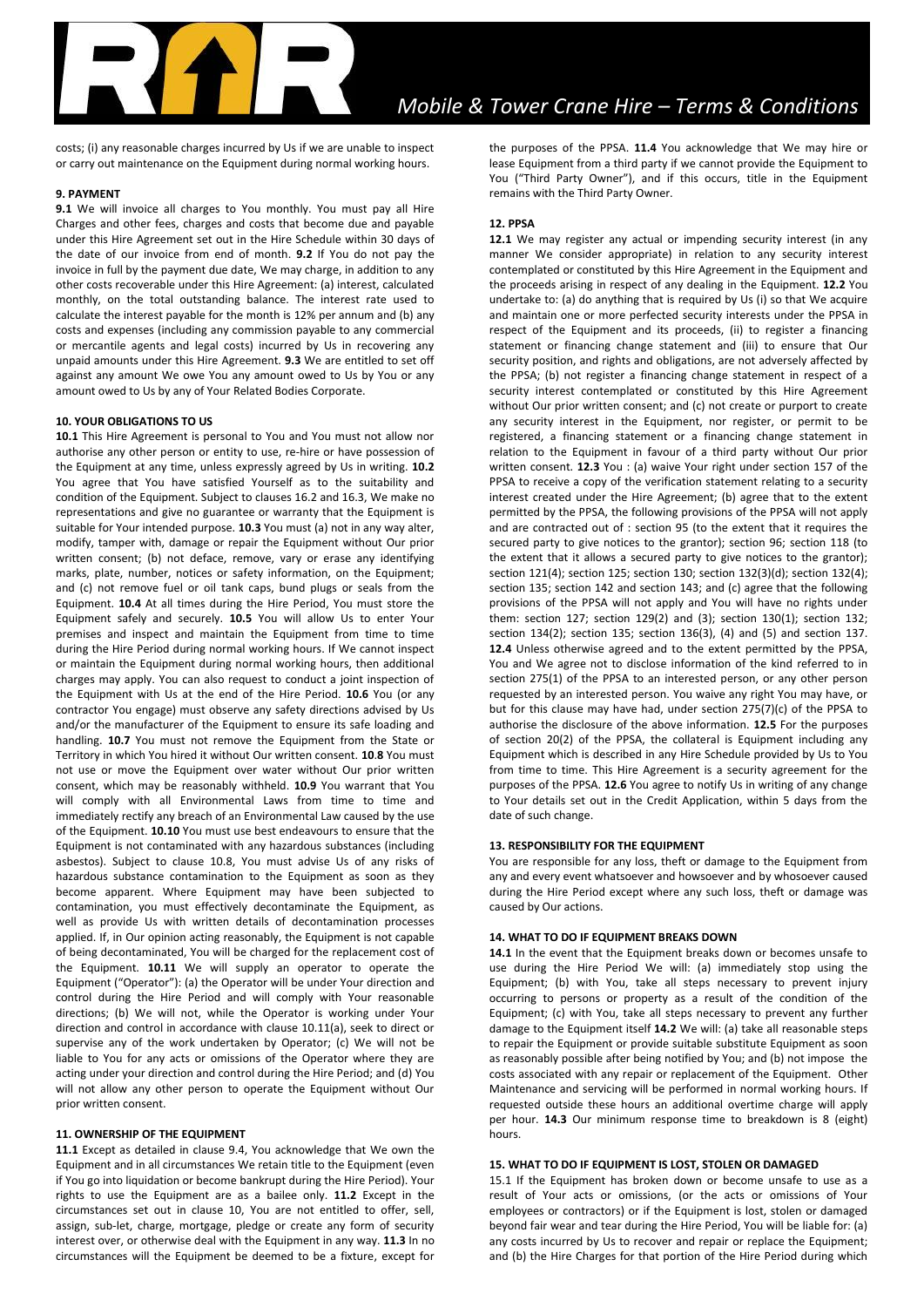costs; (i) any reasonable charges incurred by Us if we are unable to inspect or carry out maintenance on the Equipment during normal working hours.

## **9. PAYMENT**

**9.1** We will invoice all charges to You monthly. You must pay all Hire Charges and other fees, charges and costs that become due and payable under this Hire Agreement set out in the Hire Schedule within 30 days of the date of our invoice from end of month. **9.2** If You do not pay the invoice in full by the payment due date, We may charge, in addition to any other costs recoverable under this Hire Agreement: (a) interest, calculated monthly, on the total outstanding balance. The interest rate used to calculate the interest payable for the month is 12% per annum and (b) any costs and expenses (including any commission payable to any commercial or mercantile agents and legal costs) incurred by Us in recovering any unpaid amounts under this Hire Agreement. **9.3** We are entitled to set off against any amount We owe You any amount owed to Us by You or any amount owed to Us by any of Your Related Bodies Corporate.

### **10. YOUR OBLIGATIONS TO US**

**10.1** This Hire Agreement is personal to You and You must not allow nor authorise any other person or entity to use, re-hire or have possession of the Equipment at any time, unless expressly agreed by Us in writing. **10.2** You agree that You have satisfied Yourself as to the suitability and condition of the Equipment. Subject to clauses 16.2 and 16.3, We make no representations and give no guarantee or warranty that the Equipment is suitable for Your intended purpose. **10.3** You must (a) not in any way alter, modify, tamper with, damage or repair the Equipment without Our prior written consent; (b) not deface, remove, vary or erase any identifying marks, plate, number, notices or safety information, on the Equipment; and (c) not remove fuel or oil tank caps, bund plugs or seals from the Equipment. **10.4** At all times during the Hire Period, You must store the Equipment safely and securely. **10.5** You will allow Us to enter Your premises and inspect and maintain the Equipment from time to time during the Hire Period during normal working hours. If We cannot inspect or maintain the Equipment during normal working hours, then additional charges may apply. You can also request to conduct a joint inspection of the Equipment with Us at the end of the Hire Period. **10.6** You (or any contractor You engage) must observe any safety directions advised by Us and/or the manufacturer of the Equipment to ensure its safe loading and handling. **10.7** You must not remove the Equipment from the State or Territory in which You hired it without Our written consent. **10**.**8** You must not use or move the Equipment over water without Our prior written consent, which may be reasonably withheld. **10.9** You warrant that You will comply with all Environmental Laws from time to time and immediately rectify any breach of an Environmental Law caused by the use of the Equipment. **10.10** You must use best endeavours to ensure that the Equipment is not contaminated with any hazardous substances (including asbestos). Subject to clause 10.8, You must advise Us of any risks of hazardous substance contamination to the Equipment as soon as they become apparent. Where Equipment may have been subjected to contamination, you must effectively decontaminate the Equipment, as well as provide Us with written details of decontamination processes applied. If, in Our opinion acting reasonably, the Equipment is not capable of being decontaminated, You will be charged for the replacement cost of the Equipment. **10.11** We will supply an operator to operate the Equipment ("Operator"): (a) the Operator will be under Your direction and control during the Hire Period and will comply with Your reasonable directions; (b) We will not, while the Operator is working under Your direction and control in accordance with clause 10.11(a), seek to direct or supervise any of the work undertaken by Operator; (c) We will not be liable to You for any acts or omissions of the Operator where they are acting under your direction and control during the Hire Period; and (d) You will not allow any other person to operate the Equipment without Our prior written consent.

## **11. OWNERSHIP OF THE EQUIPMENT**

**11.1** Except as detailed in clause 9.4, You acknowledge that We own the Equipment and in all circumstances We retain title to the Equipment (even if You go into liquidation or become bankrupt during the Hire Period). Your rights to use the Equipment are as a bailee only. **11.2** Except in the circumstances set out in clause 10, You are not entitled to offer, sell, assign, sub-let, charge, mortgage, pledge or create any form of security interest over, or otherwise deal with the Equipment in any way. **11.3** In no circumstances will the Equipment be deemed to be a fixture, except for

the purposes of the PPSA. **11.4** You acknowledge that We may hire or lease Equipment from a third party if we cannot provide the Equipment to You ("Third Party Owner"), and if this occurs, title in the Equipment remains with the Third Party Owner.

## **12. PPSA**

**12.1** We may register any actual or impending security interest (in any manner We consider appropriate) in relation to any security interest contemplated or constituted by this Hire Agreement in the Equipment and the proceeds arising in respect of any dealing in the Equipment. **12.2** You undertake to: (a) do anything that is required by Us (i) so that We acquire and maintain one or more perfected security interests under the PPSA in respect of the Equipment and its proceeds, (ii) to register a financing statement or financing change statement and (iii) to ensure that Our security position, and rights and obligations, are not adversely affected by the PPSA; (b) not register a financing change statement in respect of a security interest contemplated or constituted by this Hire Agreement without Our prior written consent; and (c) not create or purport to create any security interest in the Equipment, nor register, or permit to be registered, a financing statement or a financing change statement in relation to the Equipment in favour of a third party without Our prior written consent. **12.3** You : (a) waive Your right under section 157 of the PPSA to receive a copy of the verification statement relating to a security interest created under the Hire Agreement; (b) agree that to the extent permitted by the PPSA, the following provisions of the PPSA will not apply and are contracted out of : section 95 (to the extent that it requires the secured party to give notices to the grantor); section 96; section 118 (to the extent that it allows a secured party to give notices to the grantor); section 121(4); section 125; section 130; section 132(3)(d); section 132(4); section 135; section 142 and section 143; and (c) agree that the following provisions of the PPSA will not apply and You will have no rights under them: section 127; section 129(2) and (3); section 130(1); section 132; section 134(2); section 135; section 136(3), (4) and (5) and section 137. **12.4** Unless otherwise agreed and to the extent permitted by the PPSA, You and We agree not to disclose information of the kind referred to in section 275(1) of the PPSA to an interested person, or any other person requested by an interested person. You waive any right You may have, or but for this clause may have had, under section 275(7)(c) of the PPSA to authorise the disclosure of the above information. **12.5** For the purposes of section 20(2) of the PPSA, the collateral is Equipment including any Equipment which is described in any Hire Schedule provided by Us to You from time to time. This Hire Agreement is a security agreement for the purposes of the PPSA. **12.6** You agree to notify Us in writing of any change to Your details set out in the Credit Application, within 5 days from the date of such change.

### **13. RESPONSIBILITY FOR THE EQUIPMENT**

You are responsible for any loss, theft or damage to the Equipment from any and every event whatsoever and howsoever and by whosoever caused during the Hire Period except where any such loss, theft or damage was caused by Our actions.

### **14. WHAT TO DO IF EQUIPMENT BREAKS DOWN**

**14.1** In the event that the Equipment breaks down or becomes unsafe to use during the Hire Period We will: (a) immediately stop using the Equipment; (b) with You, take all steps necessary to prevent injury occurring to persons or property as a result of the condition of the Equipment; (c) with You, take all steps necessary to prevent any further damage to the Equipment itself **14.2** We will: (a) take all reasonable steps to repair the Equipment or provide suitable substitute Equipment as soon as reasonably possible after being notified by You; and (b) not impose the costs associated with any repair or replacement of the Equipment. Other Maintenance and servicing will be performed in normal working hours. If requested outside these hours an additional overtime charge will apply per hour. **14.3** Our minimum response time to breakdown is 8 (eight) hours.

#### **15. WHAT TO DO IF EQUIPMENT IS LOST, STOLEN OR DAMAGED**

15.1 If the Equipment has broken down or become unsafe to use as a result of Your acts or omissions, (or the acts or omissions of Your employees or contractors) or if the Equipment is lost, stolen or damaged beyond fair wear and tear during the Hire Period, You will be liable for: (a) any costs incurred by Us to recover and repair or replace the Equipment; and (b) the Hire Charges for that portion of the Hire Period during which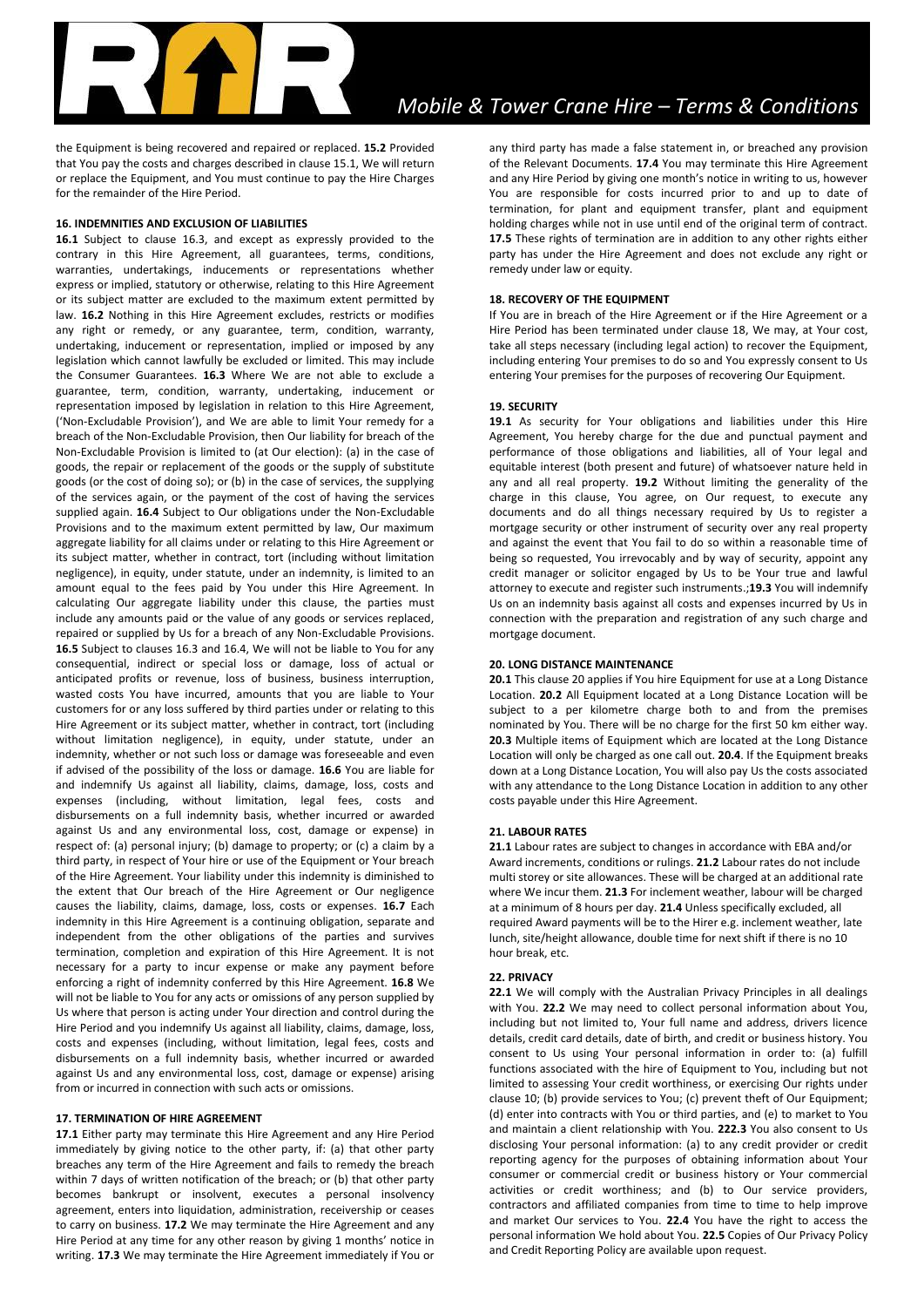the Equipment is being recovered and repaired or replaced. **15.2** Provided that You pay the costs and charges described in clause 15.1, We will return or replace the Equipment, and You must continue to pay the Hire Charges for the remainder of the Hire Period.

## **16. INDEMNITIES AND EXCLUSION OF LIABILITIES**

**16.1** Subject to clause 16.3, and except as expressly provided to the contrary in this Hire Agreement, all guarantees, terms, conditions, warranties, undertakings, inducements or representations whether express or implied, statutory or otherwise, relating to this Hire Agreement or its subject matter are excluded to the maximum extent permitted by law. **16.2** Nothing in this Hire Agreement excludes, restricts or modifies any right or remedy, or any guarantee, term, condition, warranty, undertaking, inducement or representation, implied or imposed by any legislation which cannot lawfully be excluded or limited. This may include the Consumer Guarantees. **16.3** Where We are not able to exclude a guarantee, term, condition, warranty, undertaking, inducement or representation imposed by legislation in relation to this Hire Agreement, ('Non-Excludable Provision'), and We are able to limit Your remedy for a breach of the Non-Excludable Provision, then Our liability for breach of the Non-Excludable Provision is limited to (at Our election): (a) in the case of goods, the repair or replacement of the goods or the supply of substitute goods (or the cost of doing so); or (b) in the case of services, the supplying of the services again, or the payment of the cost of having the services supplied again. **16.4** Subject to Our obligations under the Non-Excludable Provisions and to the maximum extent permitted by law, Our maximum aggregate liability for all claims under or relating to this Hire Agreement or its subject matter, whether in contract, tort (including without limitation negligence), in equity, under statute, under an indemnity, is limited to an amount equal to the fees paid by You under this Hire Agreement. In calculating Our aggregate liability under this clause, the parties must include any amounts paid or the value of any goods or services replaced, repaired or supplied by Us for a breach of any Non-Excludable Provisions. **16.5** Subject to clauses 16.3 and 16.4, We will not be liable to You for any consequential, indirect or special loss or damage, loss of actual or anticipated profits or revenue, loss of business, business interruption, wasted costs You have incurred, amounts that you are liable to Your customers for or any loss suffered by third parties under or relating to this Hire Agreement or its subject matter, whether in contract, tort (including without limitation negligence), in equity, under statute, under an indemnity, whether or not such loss or damage was foreseeable and even if advised of the possibility of the loss or damage. **16.6** You are liable for and indemnify Us against all liability, claims, damage, loss, costs and expenses (including, without limitation, legal fees, costs and disbursements on a full indemnity basis, whether incurred or awarded against Us and any environmental loss, cost, damage or expense) in respect of: (a) personal injury; (b) damage to property; or (c) a claim by a third party, in respect of Your hire or use of the Equipment or Your breach of the Hire Agreement. Your liability under this indemnity is diminished to the extent that Our breach of the Hire Agreement or Our negligence causes the liability, claims, damage, loss, costs or expenses. **16.7** Each indemnity in this Hire Agreement is a continuing obligation, separate and independent from the other obligations of the parties and survives termination, completion and expiration of this Hire Agreement. It is not necessary for a party to incur expense or make any payment before enforcing a right of indemnity conferred by this Hire Agreement. **16.8** We will not be liable to You for any acts or omissions of any person supplied by Us where that person is acting under Your direction and control during the Hire Period and you indemnify Us against all liability, claims, damage, loss, costs and expenses (including, without limitation, legal fees, costs and disbursements on a full indemnity basis, whether incurred or awarded against Us and any environmental loss, cost, damage or expense) arising from or incurred in connection with such acts or omissions.

#### **17. TERMINATION OF HIRE AGREEMENT**

**17.1** Either party may terminate this Hire Agreement and any Hire Period immediately by giving notice to the other party, if: (a) that other party breaches any term of the Hire Agreement and fails to remedy the breach within 7 days of written notification of the breach; or (b) that other party becomes bankrupt or insolvent, executes a personal insolvency agreement, enters into liquidation, administration, receivership or ceases to carry on business. **17.2** We may terminate the Hire Agreement and any Hire Period at any time for any other reason by giving 1 months' notice in writing. **17.3** We may terminate the Hire Agreement immediately if You or

any third party has made a false statement in, or breached any provision of the Relevant Documents. **17.4** You may terminate this Hire Agreement and any Hire Period by giving one month's notice in writing to us, however You are responsible for costs incurred prior to and up to date of termination, for plant and equipment transfer, plant and equipment holding charges while not in use until end of the original term of contract. **17.5** These rights of termination are in addition to any other rights either party has under the Hire Agreement and does not exclude any right or remedy under law or equity.

## **18. RECOVERY OF THE EQUIPMENT**

If You are in breach of the Hire Agreement or if the Hire Agreement or a Hire Period has been terminated under clause 18, We may, at Your cost, take all steps necessary (including legal action) to recover the Equipment, including entering Your premises to do so and You expressly consent to Us entering Your premises for the purposes of recovering Our Equipment.

#### **19. SECURITY**

**19.1** As security for Your obligations and liabilities under this Hire Agreement, You hereby charge for the due and punctual payment and performance of those obligations and liabilities, all of Your legal and equitable interest (both present and future) of whatsoever nature held in any and all real property. **19.2** Without limiting the generality of the charge in this clause, You agree, on Our request, to execute any documents and do all things necessary required by Us to register a mortgage security or other instrument of security over any real property and against the event that You fail to do so within a reasonable time of being so requested, You irrevocably and by way of security, appoint any credit manager or solicitor engaged by Us to be Your true and lawful attorney to execute and register such instruments.;**19.3** You will indemnify Us on an indemnity basis against all costs and expenses incurred by Us in connection with the preparation and registration of any such charge and mortgage document.

## **20. LONG DISTANCE MAINTENANCE**

**20.1** This clause 20 applies if You hire Equipment for use at a Long Distance Location. **20.2** All Equipment located at a Long Distance Location will be subject to a per kilometre charge both to and from the premises nominated by You. There will be no charge for the first 50 km either way. **20.3** Multiple items of Equipment which are located at the Long Distance Location will only be charged as one call out. **20.4**. If the Equipment breaks down at a Long Distance Location, You will also pay Us the costs associated with any attendance to the Long Distance Location in addition to any other costs payable under this Hire Agreement.

#### **21. LABOUR RATES**

**21.1** Labour rates are subject to changes in accordance with EBA and/or Award increments, conditions or rulings. **21.2** Labour rates do not include multi storey or site allowances. These will be charged at an additional rate where We incur them. **21.3** For inclement weather, labour will be charged at a minimum of 8 hours per day. **21.4** Unless specifically excluded, all required Award payments will be to the Hirer e.g. inclement weather, late lunch, site/height allowance, double time for next shift if there is no 10 hour break, etc.

## **22. PRIVACY**

**22.1** We will comply with the Australian Privacy Principles in all dealings with You. **22.2** We may need to collect personal information about You, including but not limited to, Your full name and address, drivers licence details, credit card details, date of birth, and credit or business history. You consent to Us using Your personal information in order to: (a) fulfill functions associated with the hire of Equipment to You, including but not limited to assessing Your credit worthiness, or exercising Our rights under clause 10; (b) provide services to You; (c) prevent theft of Our Equipment; (d) enter into contracts with You or third parties, and (e) to market to You and maintain a client relationship with You. **222.3** You also consent to Us disclosing Your personal information: (a) to any credit provider or credit reporting agency for the purposes of obtaining information about Your consumer or commercial credit or business history or Your commercial activities or credit worthiness; and (b) to Our service providers, contractors and affiliated companies from time to time to help improve and market Our services to You. **22.4** You have the right to access the personal information We hold about You. **22.5** Copies of Our Privacy Policy and Credit Reporting Policy are available upon request.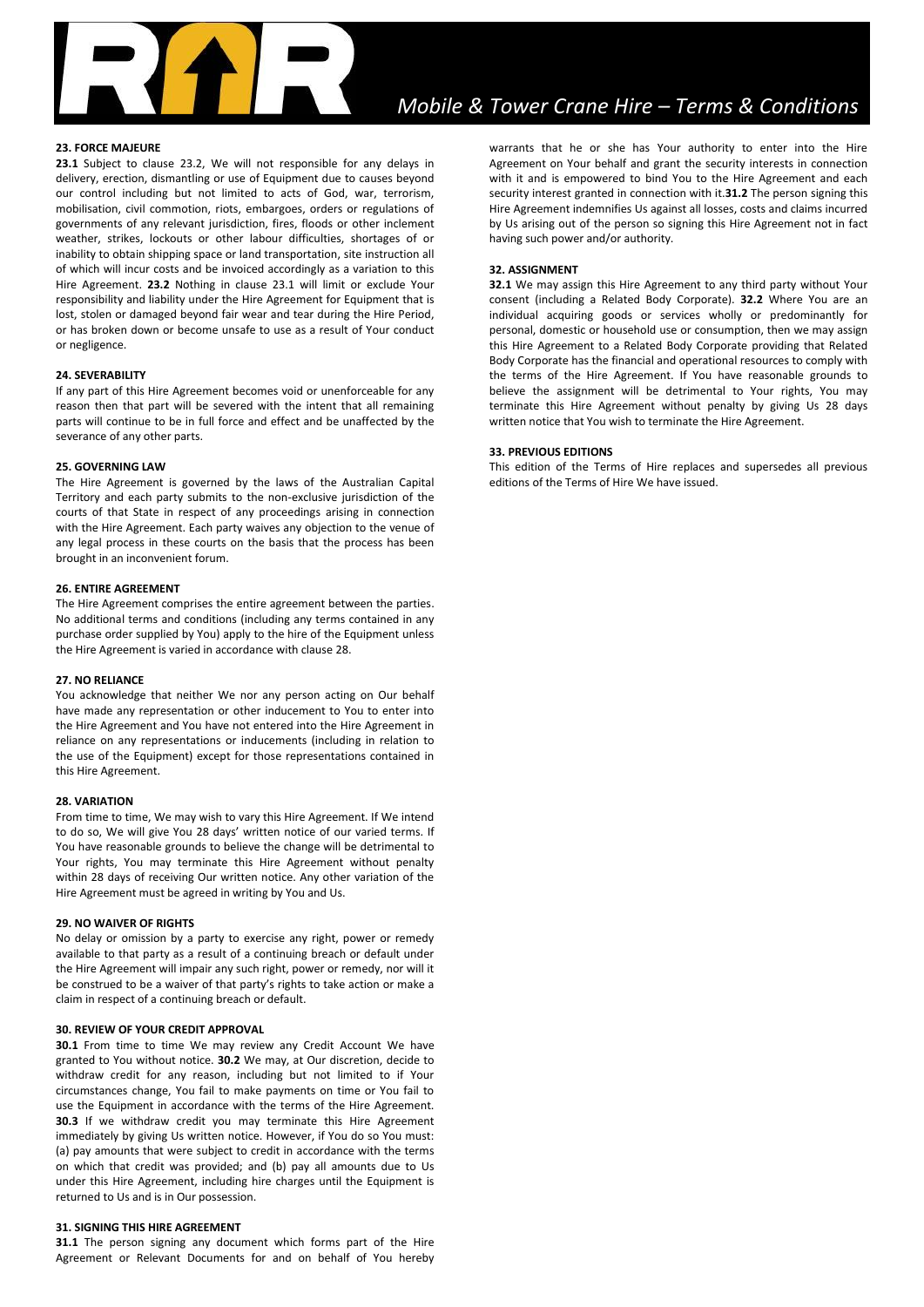

# *Mobile & Tower Crane Hire – Terms & Conditions*

## **23. FORCE MAJEURE**

**23.1** Subject to clause 23.2, We will not responsible for any delays in delivery, erection, dismantling or use of Equipment due to causes beyond our control including but not limited to acts of God, war, terrorism, mobilisation, civil commotion, riots, embargoes, orders or regulations of governments of any relevant jurisdiction, fires, floods or other inclement weather, strikes, lockouts or other labour difficulties, shortages of or inability to obtain shipping space or land transportation, site instruction all of which will incur costs and be invoiced accordingly as a variation to this Hire Agreement. **23.2** Nothing in clause 23.1 will limit or exclude Your responsibility and liability under the Hire Agreement for Equipment that is lost, stolen or damaged beyond fair wear and tear during the Hire Period, or has broken down or become unsafe to use as a result of Your conduct or negligence.

#### **24. SEVERABILITY**

If any part of this Hire Agreement becomes void or unenforceable for any reason then that part will be severed with the intent that all remaining parts will continue to be in full force and effect and be unaffected by the severance of any other parts.

## **25. GOVERNING LAW**

The Hire Agreement is governed by the laws of the Australian Capital Territory and each party submits to the non-exclusive jurisdiction of the courts of that State in respect of any proceedings arising in connection with the Hire Agreement. Each party waives any objection to the venue of any legal process in these courts on the basis that the process has been brought in an inconvenient forum.

#### **26. ENTIRE AGREEMENT**

The Hire Agreement comprises the entire agreement between the parties. No additional terms and conditions (including any terms contained in any purchase order supplied by You) apply to the hire of the Equipment unless the Hire Agreement is varied in accordance with clause 28.

#### **27. NO RELIANCE**

You acknowledge that neither We nor any person acting on Our behalf have made any representation or other inducement to You to enter into the Hire Agreement and You have not entered into the Hire Agreement in reliance on any representations or inducements (including in relation to the use of the Equipment) except for those representations contained in this Hire Agreement.

#### **28. VARIATION**

From time to time, We may wish to vary this Hire Agreement. If We intend to do so, We will give You 28 days' written notice of our varied terms. If You have reasonable grounds to believe the change will be detrimental to Your rights, You may terminate this Hire Agreement without penalty within 28 days of receiving Our written notice. Any other variation of the Hire Agreement must be agreed in writing by You and Us.

### **29. NO WAIVER OF RIGHTS**

No delay or omission by a party to exercise any right, power or remedy available to that party as a result of a continuing breach or default under the Hire Agreement will impair any such right, power or remedy, nor will it be construed to be a waiver of that party's rights to take action or make a claim in respect of a continuing breach or default.

#### **30. REVIEW OF YOUR CREDIT APPROVAL**

**30.1** From time to time We may review any Credit Account We have granted to You without notice. **30.2** We may, at Our discretion, decide to withdraw credit for any reason, including but not limited to if Your circumstances change, You fail to make payments on time or You fail to use the Equipment in accordance with the terms of the Hire Agreement. **30.3** If we withdraw credit you may terminate this Hire Agreement immediately by giving Us written notice. However, if You do so You must: (a) pay amounts that were subject to credit in accordance with the terms on which that credit was provided; and (b) pay all amounts due to Us under this Hire Agreement, including hire charges until the Equipment is returned to Us and is in Our possession.

#### **31. SIGNING THIS HIRE AGREEMENT**

**31.1** The person signing any document which forms part of the Hire Agreement or Relevant Documents for and on behalf of You hereby warrants that he or she has Your authority to enter into the Hire Agreement on Your behalf and grant the security interests in connection with it and is empowered to bind You to the Hire Agreement and each security interest granted in connection with it.**31.2** The person signing this Hire Agreement indemnifies Us against all losses, costs and claims incurred by Us arising out of the person so signing this Hire Agreement not in fact having such power and/or authority.

#### **32. ASSIGNMENT**

**32.1** We may assign this Hire Agreement to any third party without Your consent (including a Related Body Corporate). **32.2** Where You are an individual acquiring goods or services wholly or predominantly for personal, domestic or household use or consumption, then we may assign this Hire Agreement to a Related Body Corporate providing that Related Body Corporate has the financial and operational resources to comply with the terms of the Hire Agreement. If You have reasonable grounds to believe the assignment will be detrimental to Your rights, You may terminate this Hire Agreement without penalty by giving Us 28 days written notice that You wish to terminate the Hire Agreement.

#### **33. PREVIOUS EDITIONS**

This edition of the Terms of Hire replaces and supersedes all previous editions of the Terms of Hire We have issued.